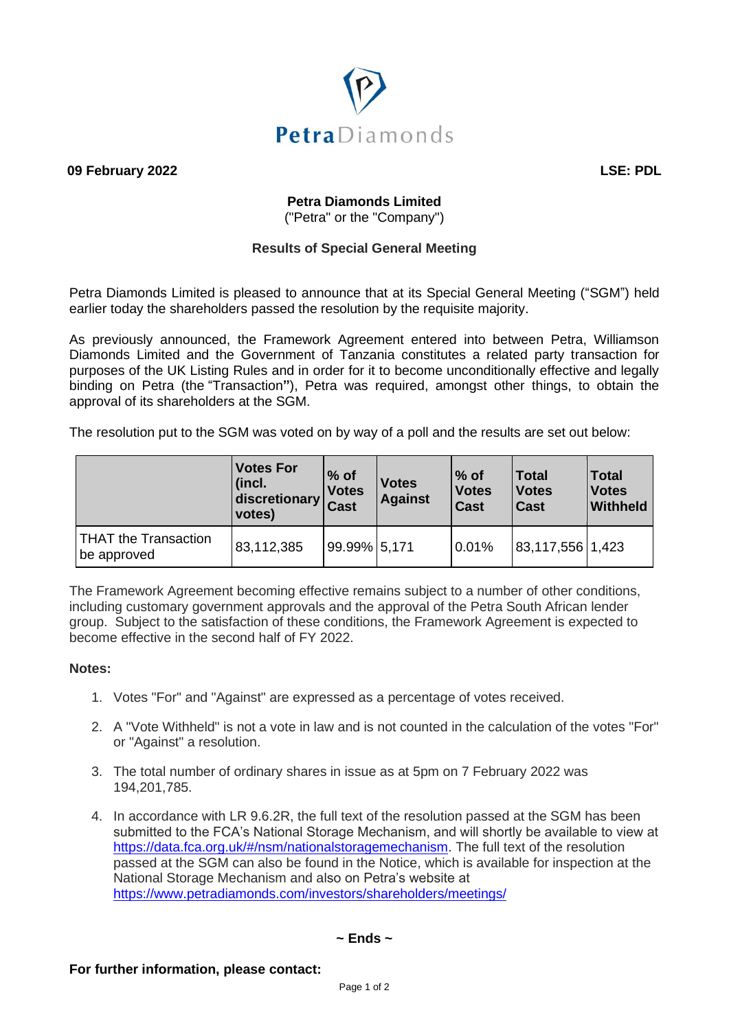

**09 February 2022 LSE: PDL**

# **Petra Diamonds Limited**

("Petra" or the "Company")

## **Results of Special General Meeting**

Petra Diamonds Limited is pleased to announce that at its Special General Meeting ("SGM") held earlier today the shareholders passed the resolution by the requisite majority.

As previously announced, the Framework Agreement entered into between Petra, Williamson Diamonds Limited and the Government of Tanzania constitutes a related party transaction for purposes of the UK Listing Rules and in order for it to become unconditionally effective and legally binding on Petra (the "Transaction**"**), Petra was required, amongst other things, to obtain the approval of its shareholders at the SGM.

The resolution put to the SGM was voted on by way of a poll and the results are set out below:

|                                            | <b>Votes For</b><br>(incl.<br>discretionary<br>votes) | $%$ of<br><b>Votes</b><br><b>Cast</b> | <b>Votes</b><br><b>Against</b> | $\%$ of<br><b>Votes</b><br><b>Cast</b> | <b>Total</b><br><b>Votes</b><br>Cast | <b>Total</b><br><b>Votes</b><br><b>Withheld</b> |
|--------------------------------------------|-------------------------------------------------------|---------------------------------------|--------------------------------|----------------------------------------|--------------------------------------|-------------------------------------------------|
| <b>THAT the Transaction</b><br>be approved | 83,112,385                                            | 99.99% 5,171                          |                                | 0.01%                                  | 83,117,556 1,423                     |                                                 |

The Framework Agreement becoming effective remains subject to a number of other conditions, including customary government approvals and the approval of the Petra South African lender group. Subject to the satisfaction of these conditions, the Framework Agreement is expected to become effective in the second half of FY 2022.

## **Notes:**

- 1. Votes "For" and "Against" are expressed as a percentage of votes received.
- 2. A "Vote Withheld" is not a vote in law and is not counted in the calculation of the votes "For" or "Against" a resolution.
- 3. The total number of ordinary shares in issue as at 5pm on 7 February 2022 was 194,201,785.
- 4. In accordance with LR 9.6.2R, the full text of the resolution passed at the SGM has been submitted to the FCA's National Storage Mechanism, and will shortly be available to view at [https://data.fca.org.uk/#/nsm/nationalstoragemechanism.](https://data.fca.org.uk/#/nsm/nationalstoragemechanism) The full text of the resolution passed at the SGM can also be found in the Notice, which is available for inspection at the National Storage Mechanism and also on Petra's website at <https://www.petradiamonds.com/investors/shareholders/meetings/>

## **~ Ends ~**

## **For further information, please contact:**